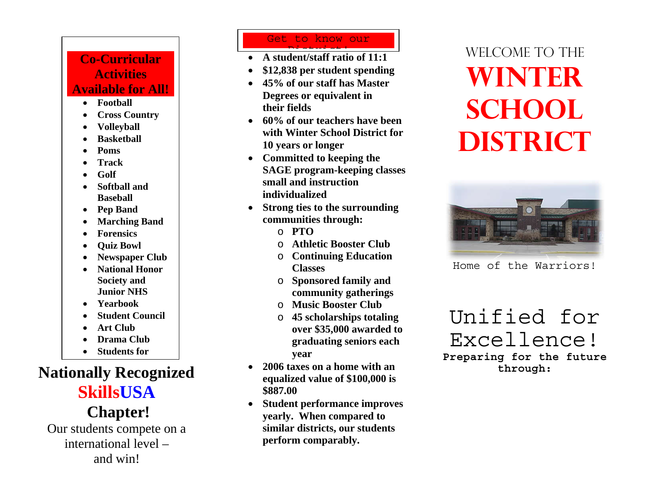### **Co-Curricular Activities Available for All!**

- **Football**
- •**Cross Country**
- •**Volleyball**
- •**Basketball**
- •**Poms**
- •**Track**
- •**Golf**
- • **Softball and Baseball**
- •**Pep Band**
- •• Marching Band
- •**Forensics**
- •**Quiz Bowl**
- •**Newspaper Club**
- • **National Honor Society and Junior NHS**
- •**Yearbook**
- •**Student Council**
- •**Art Club**
- •**Drama Club**
- •**Students for**

## **Nationally Recognized SkillsUSA**

# **Chapter!**

Our students compete on a international level – and win!

### Get to know our

- **A student/staff ratio of 11:1**  <u>District in the set of the set of the set of the set of the set of the set of the set of the set of the set of </u>
- •**\$12,838 per student spending**
- **45% of our staff has Master Degrees or equivalent in their fields**
- **60% of our teachers have been with Winter School District for 10 years or longer**
- **Committed to keeping the SAGE program-keeping classes small and instruction individualized**
- • **Strong ties to the surrounding communities through:** 
	- o **PTO**
	- o **Athletic Booster Club**
	- o **Continuing Education Classes**
	- o **Sponsored family and community gatherings**
	- o **Music Booster Club**
	- o **45 scholarships totaling over \$35,000 awarded to graduating seniors each year**
- • **2006 taxes on a home with an equalized value of \$100,000 is \$887.00**
- **Student performance improves yearly. When compared to similar districts, our students perform comparably.**

# WELCOME TO THE **Winter school DISTRICT**



Home of the Warriors!

## Unified for Excellence!

**Preparing for the future through:**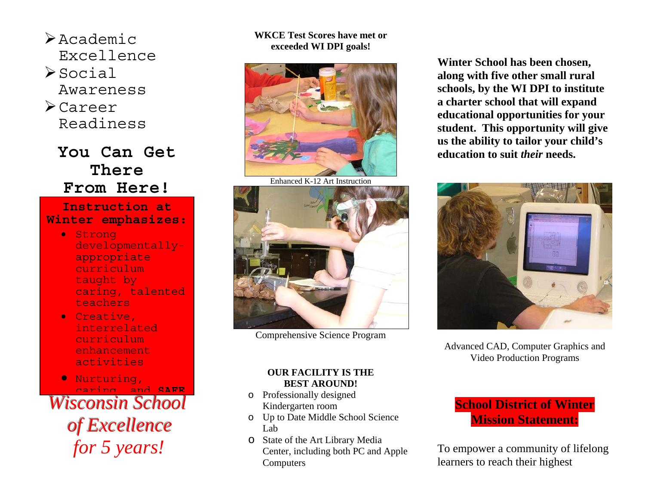- $\triangleright$  Academic Excellence
- $\geq$ Social Awareness
- ¾Career Readiness

### **You Can Get There From Here!**

#### **Instruction at Winter emphasizes:**

- Strong developmentallyappropriate curriculum taught by caring, talented teachers
- Creative, interrelated curriculum enhancement activities

• Nurturing, caring and **SAFE**

**Wisconsin School** *of Excellence for 5 years!* 

#### **WKCE Test Scores have met or exceeded WI DPI goals!**



Enhanced K-12 Art Instruction



Comprehensive Science Program

#### **OUR FACILITY IS THE BEST AROUND!**

- o Professionally designed Kindergarten room
- o Up to Date Middle School Science Lab
- o State of the Art Library Media Center, including both PC and Apple Computers

**Winter School has been chosen, along with five other small rural schools, by the WI DPI to institute a charter school that will expand educational opportunities for your student. This opportunity will give us the ability to tailor your child's education to suit** *their* **needs.**



Advanced CAD, Computer Graphics and Video Production Programs



To empower a community of lifelong learners to reach their highest